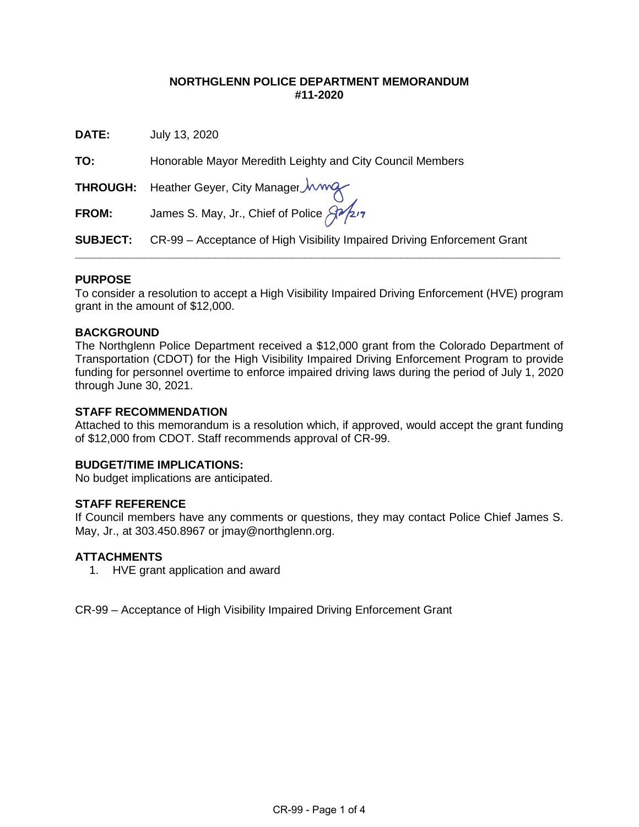## **NORTHGLENN POLICE DEPARTMENT MEMORANDUM #11-2020**

**DATE:** July 13, 2020

**TO:** Honorable Mayor Meredith Leighty and City Council Members

**THROUGH:** Heather Geyer, City Manager

**FROM:** James S. May, Jr., Chief of Police And 17

**SUBJECT:** CR-99 – Acceptance of High Visibility Impaired Driving Enforcement Grant

## **PURPOSE**

To consider a resolution to accept a High Visibility Impaired Driving Enforcement (HVE) program grant in the amount of \$12,000.

**\_\_\_\_\_\_\_\_\_\_\_\_\_\_\_\_\_\_\_\_\_\_\_\_\_\_\_\_\_\_\_\_\_\_\_\_\_\_\_\_\_\_\_\_\_\_\_\_\_\_\_\_\_\_\_\_\_\_\_\_\_\_\_\_\_\_\_\_\_\_\_\_\_\_\_\_**

### **BACKGROUND**

The Northglenn Police Department received a \$12,000 grant from the Colorado Department of Transportation (CDOT) for the High Visibility Impaired Driving Enforcement Program to provide funding for personnel overtime to enforce impaired driving laws during the period of July 1, 2020 through June 30, 2021.

### **STAFF RECOMMENDATION**

Attached to this memorandum is a resolution which, if approved, would accept the grant funding of \$12,000 from CDOT. Staff recommends approval of CR-99.

#### **BUDGET/TIME IMPLICATIONS:**

No budget implications are anticipated.

## **STAFF REFERENCE**

If Council members have any comments or questions, they may contact Police Chief James S. May, Jr., at 303.450.8967 or [jmay@northglenn.org.](mailto:jmay@northglenn.org)

#### **ATTACHMENTS**

1. HVE grant application and award

CR-99 – Acceptance of High Visibility Impaired Driving Enforcement Grant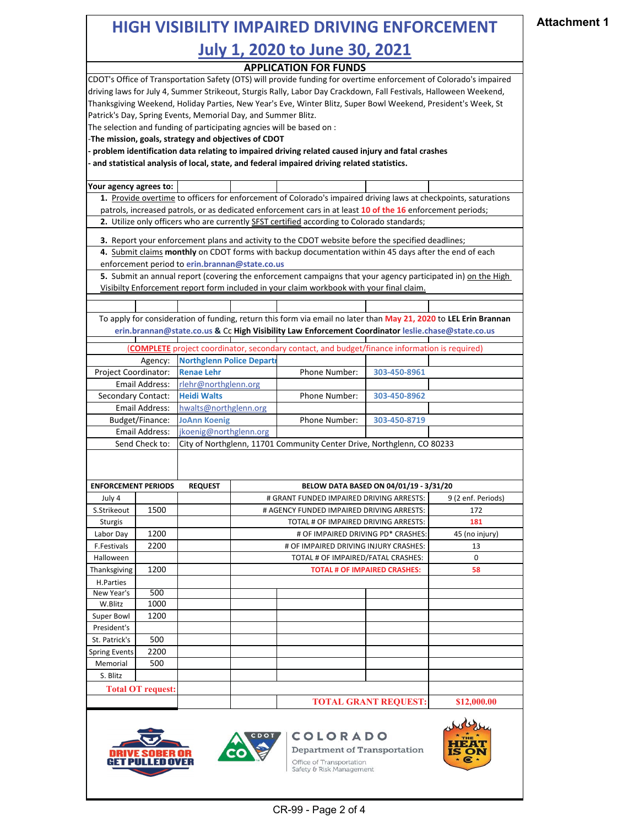| <b>HIGH VISIBILITY IMPAIRED DRIVING ENFORCEMENT</b>                                                                                               | <b>Attachment 1</b>      |                                                      |  |                                                                                                                                                                                                |                                     |                    |  |
|---------------------------------------------------------------------------------------------------------------------------------------------------|--------------------------|------------------------------------------------------|--|------------------------------------------------------------------------------------------------------------------------------------------------------------------------------------------------|-------------------------------------|--------------------|--|
|                                                                                                                                                   |                          |                                                      |  |                                                                                                                                                                                                |                                     |                    |  |
|                                                                                                                                                   |                          |                                                      |  |                                                                                                                                                                                                |                                     |                    |  |
| <b>APPLICATION FOR FUNDS</b><br>CDOT's Office of Transportation Safety (OTS) will provide funding for overtime enforcement of Colorado's impaired |                          |                                                      |  |                                                                                                                                                                                                |                                     |                    |  |
|                                                                                                                                                   |                          |                                                      |  |                                                                                                                                                                                                |                                     |                    |  |
|                                                                                                                                                   |                          |                                                      |  | driving laws for July 4, Summer Strikeout, Sturgis Rally, Labor Day Crackdown, Fall Festivals, Halloween Weekend,                                                                              |                                     |                    |  |
| Thanksgiving Weekend, Holiday Parties, New Year's Eve, Winter Blitz, Super Bowl Weekend, President's Week, St                                     |                          |                                                      |  |                                                                                                                                                                                                |                                     |                    |  |
| Patrick's Day, Spring Events, Memorial Day, and Summer Blitz.                                                                                     |                          |                                                      |  |                                                                                                                                                                                                |                                     |                    |  |
| The selection and funding of participating agncies will be based on :                                                                             |                          |                                                      |  |                                                                                                                                                                                                |                                     |                    |  |
|                                                                                                                                                   |                          | -The mission, goals, strategy and objectives of CDOT |  |                                                                                                                                                                                                |                                     |                    |  |
|                                                                                                                                                   |                          |                                                      |  | problem identification data relating to impaired driving related caused injury and fatal crashes<br>and statistical analysis of local, state, and federal impaired driving related statistics. |                                     |                    |  |
| Your agency agrees to:                                                                                                                            |                          |                                                      |  |                                                                                                                                                                                                |                                     |                    |  |
|                                                                                                                                                   |                          |                                                      |  | 1. Provide overtime to officers for enforcement of Colorado's impaired driving laws at checkpoints, saturations                                                                                |                                     |                    |  |
|                                                                                                                                                   |                          |                                                      |  | patrols, increased patrols, or as dedicated enforcement cars in at least 10 of the 16 enforcement periods;                                                                                     |                                     |                    |  |
|                                                                                                                                                   |                          |                                                      |  | 2. Utilize only officers who are currently SFST certified according to Colorado standards;                                                                                                     |                                     |                    |  |
|                                                                                                                                                   |                          |                                                      |  | 3. Report your enforcement plans and activity to the CDOT website before the specified deadlines;                                                                                              |                                     |                    |  |
|                                                                                                                                                   |                          | enforcement period to erin.brannan@state.co.us       |  | 4. Submit claims monthly on CDOT forms with backup documentation within 45 days after the end of each                                                                                          |                                     |                    |  |
|                                                                                                                                                   |                          |                                                      |  | 5. Submit an annual report (covering the enforcement campaigns that your agency participated in) on the High                                                                                   |                                     |                    |  |
|                                                                                                                                                   |                          |                                                      |  | Visibilty Enforcement report form included in your claim workbook with your final claim.                                                                                                       |                                     |                    |  |
|                                                                                                                                                   |                          |                                                      |  |                                                                                                                                                                                                |                                     |                    |  |
|                                                                                                                                                   |                          |                                                      |  | To apply for consideration of funding, return this form via email no later than May 21, 2020 to LEL Erin Brannan                                                                               |                                     |                    |  |
|                                                                                                                                                   |                          |                                                      |  | erin.brannan@state.co.us & Cc High Visibility Law Enforcement Coordinator leslie.chase@state.co.us                                                                                             |                                     |                    |  |
|                                                                                                                                                   |                          |                                                      |  |                                                                                                                                                                                                |                                     |                    |  |
|                                                                                                                                                   |                          |                                                      |  | (COMPLETE project coordinator, secondary contact, and budget/finance information is required)                                                                                                  |                                     |                    |  |
|                                                                                                                                                   | Agency:                  | <b>Northglenn Police Departi</b>                     |  |                                                                                                                                                                                                |                                     |                    |  |
| Project Coordinator:                                                                                                                              |                          | <b>Renae Lehr</b>                                    |  | Phone Number:                                                                                                                                                                                  | 303-450-8961                        |                    |  |
|                                                                                                                                                   | Email Address:           | rlehr@northglenn.org                                 |  |                                                                                                                                                                                                |                                     |                    |  |
| Secondary Contact:                                                                                                                                |                          | <b>Heidi Walts</b>                                   |  | Phone Number:                                                                                                                                                                                  | 303-450-8962                        |                    |  |
|                                                                                                                                                   | Email Address:           | hwalts@northglenn.org                                |  |                                                                                                                                                                                                |                                     |                    |  |
|                                                                                                                                                   | Budget/Finance:          | <b>JoAnn Koenig</b>                                  |  | Phone Number:                                                                                                                                                                                  | 303-450-8719                        |                    |  |
|                                                                                                                                                   | Email Address:           | jkoenig@northglenn.org                               |  | City of Northglenn, 11701 Community Center Drive, Northglenn, CO 80233                                                                                                                         |                                     |                    |  |
|                                                                                                                                                   | Send Check to:           |                                                      |  |                                                                                                                                                                                                |                                     |                    |  |
|                                                                                                                                                   |                          |                                                      |  |                                                                                                                                                                                                |                                     |                    |  |
|                                                                                                                                                   |                          |                                                      |  |                                                                                                                                                                                                |                                     |                    |  |
| <b>ENFORCEMENT PERIODS</b>                                                                                                                        |                          | <b>REQUEST</b>                                       |  | BELOW DATA BASED ON 04/01/19 - 3/31/20<br># GRANT FUNDED IMPAIRED DRIVING ARRESTS:                                                                                                             |                                     |                    |  |
| July 4                                                                                                                                            |                          |                                                      |  |                                                                                                                                                                                                |                                     | 9 (2 enf. Periods) |  |
| S.Strikeout                                                                                                                                       | 1500                     |                                                      |  | # AGENCY FUNDED IMPAIRED DRIVING ARRESTS:                                                                                                                                                      |                                     | 172                |  |
| Sturgis                                                                                                                                           |                          |                                                      |  | TOTAL # OF IMPAIRED DRIVING ARRESTS:                                                                                                                                                           |                                     | 181                |  |
| Labor Day                                                                                                                                         | 1200                     |                                                      |  | # OF IMPAIRED DRIVING PD* CRASHES:                                                                                                                                                             |                                     | 45 (no injury)     |  |
| F.Festivals                                                                                                                                       | 2200                     |                                                      |  | # OF IMPAIRED DRIVING INJURY CRASHES:                                                                                                                                                          |                                     | 13                 |  |
| Halloween                                                                                                                                         |                          |                                                      |  | TOTAL # OF IMPAIRED/FATAL CRASHES:                                                                                                                                                             |                                     | 0                  |  |
| Thanksgiving                                                                                                                                      | 1200                     |                                                      |  |                                                                                                                                                                                                | <b>TOTAL # OF IMPAIRED CRASHES:</b> | 58                 |  |
| H.Parties                                                                                                                                         |                          |                                                      |  |                                                                                                                                                                                                |                                     |                    |  |
| New Year's                                                                                                                                        | 500                      |                                                      |  |                                                                                                                                                                                                |                                     |                    |  |
| W.Blitz                                                                                                                                           | 1000                     |                                                      |  |                                                                                                                                                                                                |                                     |                    |  |
| Super Bowl                                                                                                                                        | 1200                     |                                                      |  |                                                                                                                                                                                                |                                     |                    |  |
| President's<br>St. Patrick's                                                                                                                      | 500                      |                                                      |  |                                                                                                                                                                                                |                                     |                    |  |
| <b>Spring Events</b>                                                                                                                              | 2200                     |                                                      |  |                                                                                                                                                                                                |                                     |                    |  |
| Memorial                                                                                                                                          | 500                      |                                                      |  |                                                                                                                                                                                                |                                     |                    |  |
| S. Blitz                                                                                                                                          |                          |                                                      |  |                                                                                                                                                                                                |                                     |                    |  |
|                                                                                                                                                   | <b>Total OT request:</b> |                                                      |  |                                                                                                                                                                                                |                                     |                    |  |
|                                                                                                                                                   |                          |                                                      |  |                                                                                                                                                                                                | <b>TOTAL GRANT REQUEST:</b>         | \$12,000.00        |  |
|                                                                                                                                                   |                          |                                                      |  |                                                                                                                                                                                                |                                     |                    |  |
|                                                                                                                                                   |                          |                                                      |  | COLORADO<br><b>Department of Transportation</b>                                                                                                                                                |                                     | 600                |  |
|                                                                                                                                                   |                          |                                                      |  | Office of Transportation<br>Safety & Risk Management                                                                                                                                           |                                     | œ                  |  |
|                                                                                                                                                   |                          |                                                      |  |                                                                                                                                                                                                |                                     |                    |  |

CR-99 - Page 2 of 4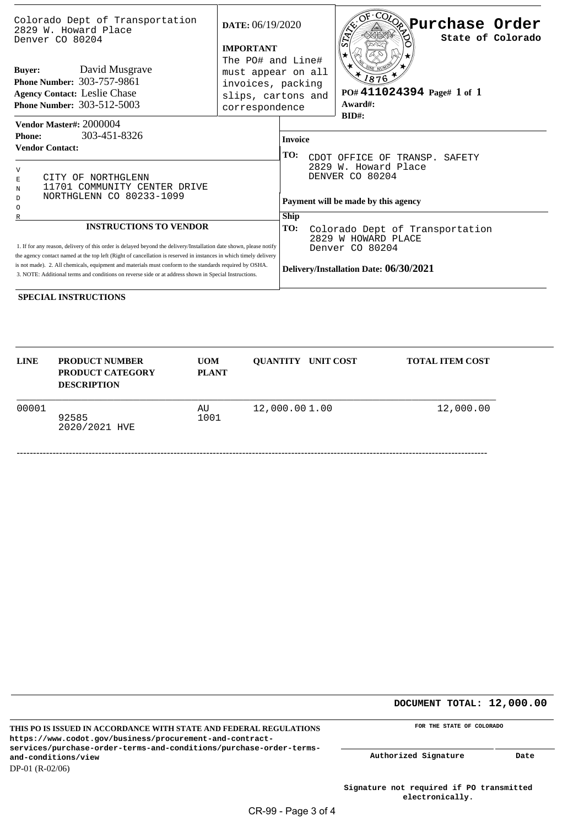| Colorado Dept of Transportation<br>2829 W. Howard Place<br>Denver CO 80204                                                                                                                                                                                                                                                                                                                                                                                  | DATE: $06/19/2020$<br><b>IMPORTANT</b><br>The PO# and Line#<br>must appear on all<br>invoices, packing<br>slips, cartons and<br>correspondence |                                                                                                                     | $-CO0$<br>Neurchase Order®<br>$\sqrt{2}$<br>State of Colorado |                                                        |  |  |  |
|-------------------------------------------------------------------------------------------------------------------------------------------------------------------------------------------------------------------------------------------------------------------------------------------------------------------------------------------------------------------------------------------------------------------------------------------------------------|------------------------------------------------------------------------------------------------------------------------------------------------|---------------------------------------------------------------------------------------------------------------------|---------------------------------------------------------------|--------------------------------------------------------|--|--|--|
| David Musgrave<br><b>Buyer:</b><br><b>Phone Number: 303-757-9861</b><br><b>Agency Contact: Leslie Chase</b><br><b>Phone Number: 303-512-5003</b>                                                                                                                                                                                                                                                                                                            |                                                                                                                                                |                                                                                                                     |                                                               | 1876<br>PO# 411024394 Page# 1 of 1<br>Award#:<br>BID#: |  |  |  |
| Vendor Master#: 2000004<br>303-451-8326<br><b>Phone:</b>                                                                                                                                                                                                                                                                                                                                                                                                    |                                                                                                                                                |                                                                                                                     |                                                               |                                                        |  |  |  |
| <b>Vendor Contact:</b>                                                                                                                                                                                                                                                                                                                                                                                                                                      |                                                                                                                                                |                                                                                                                     | <b>Invoice</b><br>TO:<br>CDOT OFFICE OF TRANSP. SAFETY        |                                                        |  |  |  |
| $\mathbf{V}$<br>CITY OF NORTHGLENN<br>E<br>11701 COMMUNITY CENTER DRIVE<br>N<br>NORTHGLENN CO 80233-1099<br>D<br>$\circ$                                                                                                                                                                                                                                                                                                                                    |                                                                                                                                                | 2829 W. Howard Place<br>DENVER CO 80204<br>Payment will be made by this agency                                      |                                                               |                                                        |  |  |  |
| <b>INSTRUCTIONS TO VENDOR</b>                                                                                                                                                                                                                                                                                                                                                                                                                               |                                                                                                                                                | Ship                                                                                                                |                                                               |                                                        |  |  |  |
| 1. If for any reason, delivery of this order is delayed beyond the delivery/Installation date shown, please notify<br>the agency contact named at the top left (Right of cancellation is reserved in instances in which timely delivery<br>is not made). 2. All chemicals, equipment and materials must conform to the standards required by OSHA.<br>3. NOTE: Additional terms and conditions on reverse side or at address shown in Special Instructions. | TO:                                                                                                                                            | Colorado Dept of Transportation<br>2829 W HOWARD PLACE<br>Denver CO 80204<br>Delivery/Installation Date: 06/30/2021 |                                                               |                                                        |  |  |  |

**SPECIAL INSTRUCTIONS**

| <b>LINE</b> | <b>PRODUCT NUMBER</b><br><b>PRODUCT CATEGORY</b><br><b>DESCRIPTION</b> | <b>UOM</b><br><b>PLANT</b> | <b>OUANTITY UNIT COST</b> | <b>TOTAL ITEM COST</b> |
|-------------|------------------------------------------------------------------------|----------------------------|---------------------------|------------------------|
| 00001       | 92585<br>2020/2021 HVE                                                 | AU<br>1001                 | 12,000.001.00             | 12,000.00              |

**DOCUMENT TOTAL: 12,000.00** 

| THIS PO IS ISSUED IN ACCORDANCE WITH STATE AND FEDERAL REGULATIONS |
|--------------------------------------------------------------------|
| https://www.codot.gov/business/procurement-and-contract-           |
| services/purchase-order-terms-and-conditions/purchase-order-terms- |
| and-conditions/view                                                |
| $DP-01$ (R-02/06)                                                  |

**FOR THE STATE OF COLORADO** 

**Authorized Signature Date**

**Signature not required if PO transmitted electronically.**